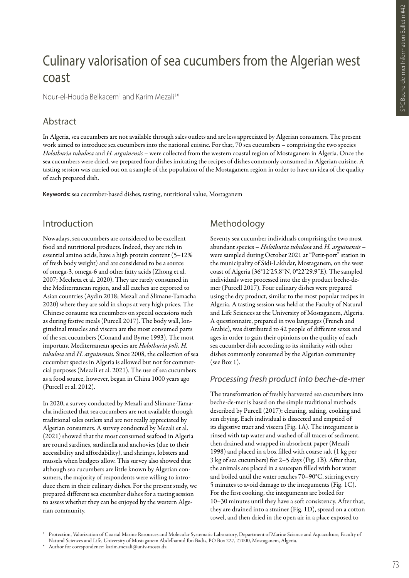# Culinary valorisation of sea cucumbers from the Algerian west coast

Nour-el-Houda Belkacem<sup>1</sup> and Karim Mezali<sup>1\*</sup>

# Abstract

In Algeria, sea cucumbers are not available through sales outlets and are less appreciated by Algerian consumers. The present work aimed to introduce sea cucumbers into the national cuisine. For that, 70 sea cucumbers – comprising the two species *Holothuria tubulosa* and *H. arguinensis* – were collected from the western coastal region of Mostaganem in Algeria. Once the sea cucumbers were dried, we prepared four dishes imitating the recipes of dishes commonly consumed in Algerian cuisine. A tasting session was carried out on a sample of the population of the Mostaganem region in order to have an idea of the quality of each prepared dish.

**Keywords:** sea cucumber-based dishes, tasting, nutritional value, Mostaganem

## Introduction

Nowadays, sea cucumbers are considered to be excellent food and nutritional products. Indeed, they are rich in essential amino acids, have a high protein content (5–12% of fresh body weight) and are considered to be a source of omega-3, omega-6 and other fatty acids (Zhong et al. 2007; Mecheta et al. 2020). They are rarely consumed in the Mediterranean region, and all catches are exported to Asian countries (Aydin 2018; Mezali and Slimane-Tamacha 2020) where they are sold in shops at very high prices. The Chinese consume sea cucumbers on special occasions such as during festive meals (Purcell 2017). The body wall, longitudinal muscles and viscera are the most consumed parts of the sea cucumbers (Conand and Byrne 1993). The most important Mediterranean species are *Holothuria poli, H. tubulosa* and *H. arguinensis.* Since 2008, the collection of sea cucumber species in Algeria is allowed but not for commercial purposes (Mezali et al. 2021). The use of sea cucumbers as a food source, however, began in China 1000 years ago (Purcell et al. 2012).

In 2020, a survey conducted by Mezali and Slimane-Tamacha indicated that sea cucumbers are not available through traditional sales outlets and are not really appreciated by Algerian consumers. A survey conducted by Mezali et al. (2021) showed that the most consumed seafood in Algeria are round sardines, sardinella and anchovies (due to their accessibility and affordability), and shrimps, lobsters and mussels when budgets allow. This survey also showed that although sea cucumbers are little known by Algerian consumers, the majority of respondents were willing to introduce them in their culinary dishes. For the present study, we prepared different sea cucumber dishes for a tasting session to assess whether they can be enjoyed by the western Algerian community.

# Methodology

Seventy sea cucumber individuals comprising the two most abundant species – *Holothuria tubulosa* and *H. arguinensis* – were sampled during October 2021 at "Petit-port" station in the municipality of Sidi-Lakhdar, Mostaganem, on the west coast of Algeria (36°12'25.8"N, 0°22'29.9"E). The sampled individuals were processed into the dry product beche-demer (Purcell 2017). Four culinary dishes were prepared using the dry product, similar to the most popular recipes in Algeria. A tasting session was held at the Faculty of Natural and Life Sciences at the University of Mostaganem, Algeria. A questionnaire, prepared in two languages (French and Arabic), was distributed to 42 people of different sexes and ages in order to gain their opinions on the quality of each sea cucumber dish according to its similarity with other dishes commonly consumed by the Algerian community (see Box 1).

## *Processing fresh product into beche-de-mer*

The transformation of freshly harvested sea cucumbers into beche-de-mer is based on the simple traditional methods described by Purcell (2017): cleaning, salting, cooking and sun drying. Each individual is dissected and emptied of its digestive tract and viscera (Fig. 1A). The integument is rinsed with tap water and washed of all traces of sediment, then drained and wrapped in absorbent paper (Mezali 1998) and placed in a box filled with coarse salt (1 kg per 3 kg of sea cucumbers) for 2–5 days (Fig. 1B). After that, the animals are placed in a saucepan filled with hot water and boiled until the water reaches 70–90°C, stirring every 5 minutes to avoid damage to the integuments (Fig. 1C). For the first cooking, the integuments are boiled for 10–30 minutes until they have a soft consistency. After that, they are drained into a strainer (Fig. 1D), spread on a cotton towel, and then dried in the open air in a place exposed to

<sup>1</sup> Protection, Valorization of Coastal Marine Resources and Molecular Systematic Laboratory, Department of Marine Science and Aquaculture, Faculty of Natural Sciences and Life, University of Mostaganem Abdelhamid Ibn Badis, PO Box 227, 27000, Mostaganem, Algeria.

Author for corespondence: karim.mezali@univ-mosta.dz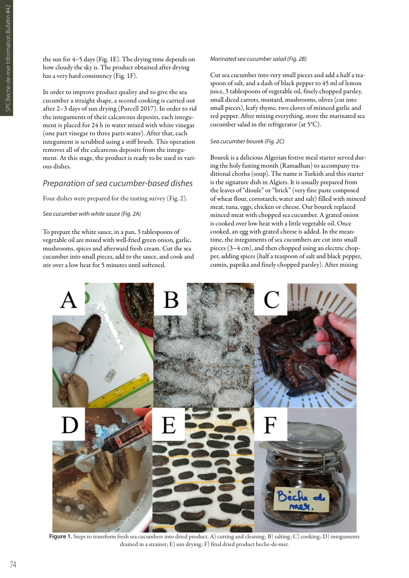the sun for 4–5 days (Fig. 1E). The drying time depends on how cloudy the sky is. The product obtained after drying has a very hard consistency (Fig. 1F).

In order to improve product quality and to give the sea cucumber a straight shape, a second cooking is carried out after 2–3 days of sun drying (Purcell 2017). In order to rid the integuments of their calcareous deposits, each integument is placed for 24 h in water mixed with white vinegar (one part vinegar to three parts water). After that, each integument is scrubbed using a stiff brush. This operation removes all of the calcareous deposits from the integument. At this stage, the product is ready to be used in various dishes.

## *Preparation of sea cucumber-based dishes*

Four dishes were prepared for the tasting survey (Fig. 2).

*Sea cucumber with white sauce (Fig. 2A)*

To prepare the white sauce, in a pan, 3 tablespoons of vegetable oil are mixed with well-fried green onion, garlic, mushrooms, spices and afterward fresh cream. Cut the sea cucumber into small pieces, add to the sauce, and cook and stir over a low heat for 5 minutes until softened.

#### *Marinated sea cucumber salad (Fig. 2B)*

Cut sea cucumber into very small pieces and add a half a teaspoon of salt, and a dash of black pepper to 45 ml of lemon juice, 3 tablespoons of vegetable oil, finely chopped parsley, small diced carrots, mustard, mushrooms, olives (cut into small pieces), leafy thyme, two cloves of miinced garlic and red pepper. After mixing everything, store the marinated sea cucumber salad in the refrigerator (at 5°C).

#### *Sea cucumber bourek (Fig. 2C)*

Bourek is a delicious Algerian festive meal starter served during the holy fasting month (Ramadhan) to accompany traditional chorba (soup). The name is Turkish and this starter is the signature dish in Algiers. It is usually prepared from the leaves of "dioule" or "brick" (very fine paste composed of wheat flour, cornstarch, water and salt) filled with minced meat, tuna, eggs, chicken or cheese. Our bourek replaced minced meat with chopped sea cucumber. A grated onion is cooked over low heat with a little vegetable oil. Once cooked, an egg with grated cheese is added. In the meantime, the integuments of sea cucumbers are cut into small pieces (3–4 cm), and then chopped using an electric chopper, adding spices (half a teaspoon of salt and black pepper, cumin, paprika and finely chopped parsley). After mixing



**Figure 1.** Steps to transform fresh sea cucumbers into dried product. A) cutting and cleaning; B) salting; C) cooking; D) integuments drained in a strainer; E) sun drying; F) final dried product beche-de-mer.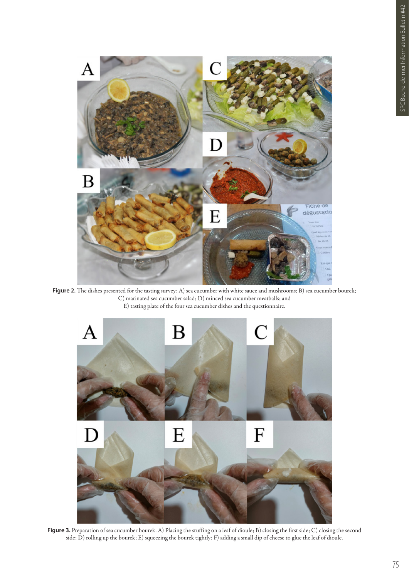

Figure 2. The dishes presented for the tasting survey: A) sea cucumber with white sauce and mushrooms; B) sea cucumber bourek; C) marinated sea cucumber salad; D) minced sea cucumber meatballs; and E) tasting plate of the four sea cucumber dishes and the questionnaire.



**Figure 3.** Preparation of sea cucumber bourek. A) Placing the stuffing on a leaf of dioule; B) closing the first side; C) closing the second side; D) rolling up the bourek; E) squeezing the bourek tightly; F) adding a small dip of cheese to glue the leaf of dioule.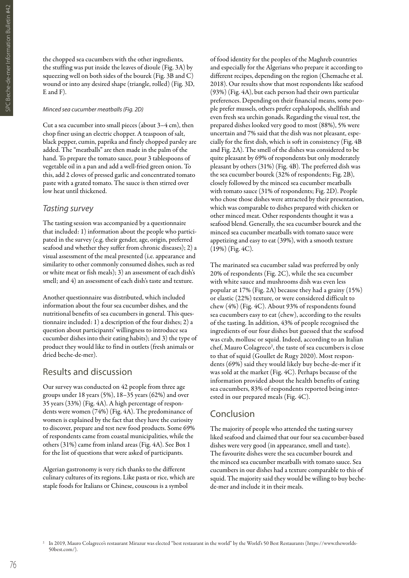the chopped sea cucumbers with the other ingredients, the stuffing was put inside the leaves of dioule (Fig. 3A) by squeezing well on both sides of the bourek (Fig. 3B and C) wound or into any desired shape (triangle, rolled) (Fig. 3D, E and F).

#### *Minced sea cucumber meatballs (Fig. 2D)*

Cut a sea cucumber into small pieces (about 3–4 cm), then chop finer using an electric chopper. A teaspoon of salt, black pepper, cumin, paprika and finely chopped parsley are added. The "meatballs" are then made in the palm of the hand. To prepare the tomato sauce, pour 3 tablespoons of vegetable oil in a pan and add a well-fried green onion. To this, add 2 cloves of pressed garlic and concentrated tomato paste with a grated tomato. The sauce is then stirred over low heat until thickened.

## *Tasting survey*

The tasting session was accompanied by a questionnaire that included: 1) information about the people who participated in the survey (e.g. their gender, age, origin, preferred seafood and whether they suffer from chronic diseases); 2) a visual assessment of the meal presented (i.e. appearance and similarity to other commonly consumed dishes, such as red or white meat or fish meals); 3) an assessment of each dish's smell; and 4) an assessment of each dish's taste and texture.

Another questionnaire was distributed, which included information about the four sea cucumber dishes, and the nutritional benefits of sea cucumbers in general. This questionnaire included: 1) a description of the four dishes; 2) a question about participants' willingness to introduce sea cucumber dishes into their eating habits); and 3) the type of product they would like to find in outlets (fresh animals or dried beche-de-mer).

## Results and discussion

Our survey was conducted on 42 people from three age groups under 18 years (5%), 18–35 years (62%) and over 35 years (33%) (Fig. 4A). A high percentage of respondents were women (74%) (Fig. 4A). The predominance of women is explained by the fact that they have the curiosity to discover, prepare and test new food products. Some 69% of respondents came from coastal municipalities, while the others (31%) came from inland areas (Fig. 4A). See Box 1 for the list of questions that were asked of participants.

Algerian gastronomy is very rich thanks to the different culinary cultures of its regions. Like pasta or rice, which are staple foods for Italians or Chinese, couscous is a symbol

of food identity for the peoples of the Maghreb countries and especially for the Algerians who prepare it according to different recipes, depending on the region (Chemache et al. 2018). Our results show that most respondents like seafood (93%) (Fig. 4A), but each person had their own particular preferences. Depending on their financial means, some people prefer mussels, others prefer cephalopods, shellfish and even fresh sea urchin gonads. Regarding the visual test, the prepared dishes looked very good to most (88%), 5% were uncertain and 7% said that the dish was not pleasant, especially for the first dish, which is soft in consistency (Fig. 4B and Fig. 2A). The smell of the dishes was considered to be quite pleasant by 69% of respondents but only moderately pleasant by others (31%) (Fig. 4B). The preferred dish was the sea cucumber bourek (32% of respondents; Fig. 2B), closely followed by the minced sea cucumber meatballs with tomato sauce (31% of respondents; Fig. 2D). People who chose those dishes were attracted by their presentation, which was comparable to dishes prepared with chicken or other minced meat. Other respondents thought it was a seafood blend. Generally, the sea cucumber bourek and the minced sea cucumber meatballs with tomato sauce were appetizing and easy to eat (39%), with a smooth texture (19%) (Fig. 4C).

The marinated sea cucumber salad was preferred by only 20% of respondents (Fig. 2C), while the sea cucumber with white sauce and mushrooms dish was even less popular at 17% (Fig. 2A) because they had a grainy (15%) or elastic (22%) texture, or were considered difficult to chew (4%) (Fig. 4C). About 93% of respondents found sea cucumbers easy to eat (chew), according to the results of the tasting. In addition, 43% of people recognised the ingredients of our four dishes but guessed that the seafood was crab, mollusc or squid. Indeed, according to an Italian chef, Mauro Colagreco<sup>2</sup>, the taste of sea cucumbers is close to that of squid (Goullet de Rugy 2020). Most respondents (69%) said they would likely buy beche-de-mer if it was sold at the market (Fig. 4C). Perhaps because of the information provided about the health benefits of eating sea cucumbers, 83% of respondents reported being interested in our prepared meals (Fig. 4C).

## Conclusion

The majority of people who attended the tasting survey liked seafood and claimed that our four sea cucumber-based dishes were very good (in appearance, smell and taste). The favourite dishes were the sea cucumber bourek and the minced sea cucumber meatballs with tomato sauce. Sea cucumbers in our dishes had a texture comparable to this of squid. The majority said they would be willing to buy bechede-mer and include it in their meals.

<sup>2</sup> In 2019, Mauro Colagreco's restaurant Mirazur was elected "best restaurant in the world" by the World's 50 Best Restaurants (https://www.theworlds-50best.com/).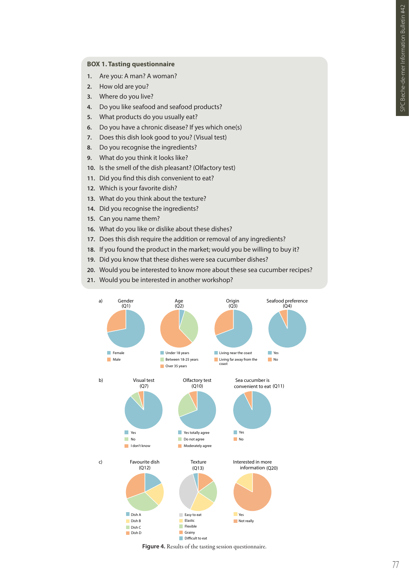### **BOX 1. Tasting questionnaire**

- **1.** Are you: A man? A woman?
- **2.** How old are you?
- **3.** Where do you live?
- **4.** Do you like seafood and seafood products?
- **5.** What products do you usually eat?
- **6.** Do you have a chronic disease? If yes which one(s)
- **7.** Does this dish look good to you? (Visual test)
- **8.** Do you recognise the ingredients?
- **9.** What do you think it looks like?
- **10.** Is the smell of the dish pleasant? (Olfactory test)
- **11.** Did you find this dish convenient to eat?
- **12.** Which is your favorite dish?
- **13.** What do you think about the texture?
- **14.** Did you recognise the ingredients?
- **15.** Can you name them?
- **16.** What do you like or dislike about these dishes?
- **17.** Does this dish require the addition or removal of any ingredients?
- **18.** If you found the product in the market; would you be willing to buy it?
- **19.** Did you know that these dishes were sea cucumber dishes?
- **20.** Would you be interested to know more about these sea cucumber recipes?
- **21.** Would you be interested in another workshop?



**Figure 4.** Results of the tasting session questionnaire.